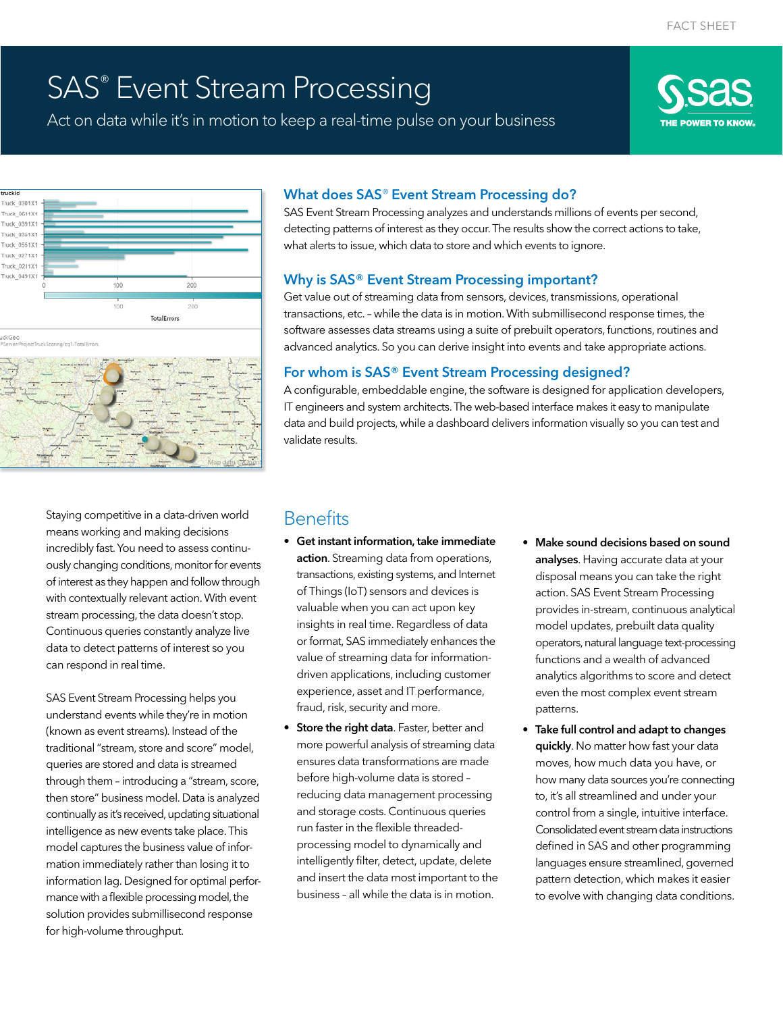# SAS® Event Stream Processing

Act on data while it's in motion to keep a real-time pulse on your business







Staying competitive in a data-driven world means working and making decisions incredibly fast. You need to assess continuously changing conditions, monitor for events of interest as they happen and follow through with contextually relevant action. With event stream processing, the data doesn't stop. Continuous queries constantly analyze live data to detect patterns of interest so you can respond in real time.

SAS Event Stream Processing helps you understand events while they're in motion (known as event streams). Instead of the traditional "stream, store and score" model, queries are stored and data is streamed through them – introducing a "stream, score, then store" business model. Data is analyzed continually as it's received, updating situational intelligence as new events take place. This model captures the business value of information immediately rather than losing it to information lag. Designed for optimal performance with a flexible processing model, the solution provides submillisecond response for high-volume throughput.

#### What does SAS® Event Stream Processing do?

SAS Event Stream Processing analyzes and understands millions of events per second, detecting patterns of interest as they occur. The results show the correct actions to take, what alerts to issue, which data to store and which events to ignore.

#### Why is SAS® Event Stream Processing important?

Get value out of streaming data from sensors, devices, transmissions, operational transactions, etc. – while the data is in motion. With submillisecond response times, the software assesses data streams using a suite of prebuilt operators, functions, routines and advanced analytics. So you can derive insight into events and take appropriate actions.

#### For whom is SAS® Event Stream Processing designed?

A configurable, embeddable engine, the software is designed for application developers, IT engineers and system architects. The web-based interface makes it easy to manipulate data and build projects, while a dashboard delivers information visually so you can test and validate results.

### **Benefits**

- Get instant information, take immediate action. Streaming data from operations, transactions, existing systems, and Internet of Things (IoT) sensors and devices is valuable when you can act upon key insights in real time. Regardless of data or format, SAS immediately enhances the value of streaming data for informationdriven applications, including customer experience, asset and IT performance, fraud, risk, security and more.
- **Store the right data**. Faster, better and more powerful analysis of streaming data ensures data transformations are made before high-volume data is stored – reducing data management processing and storage costs. Continuous queries run faster in the flexible threadedprocessing model to dynamically and intelligently filter, detect, update, delete and insert the data most important to the business – all while the data is in motion.
- Make sound decisions based on sound analyses. Having accurate data at your disposal means you can take the right action. SAS Event Stream Processing provides in-stream, continuous analytical model updates, prebuilt data quality operators, natural language text-processing functions and a wealth of advanced analytics algorithms to score and detect even the most complex event stream patterns.
- Take full control and adapt to changes quickly. No matter how fast your data moves, how much data you have, or how many data sources you're connecting to, it's all streamlined and under your control from a single, intuitive interface. Consolidated event stream data instructions defined in SAS and other programming languages ensure streamlined, governed pattern detection, which makes it easier to evolve with changing data conditions.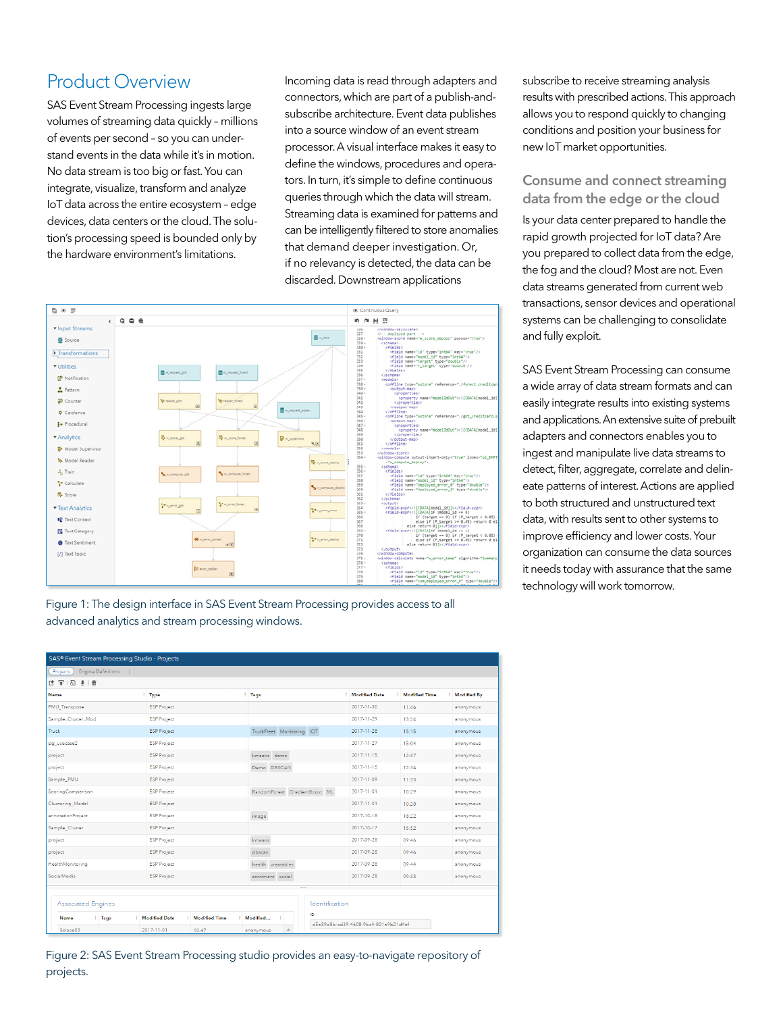### Product Overview

SAS Event Stream Processing ingests large volumes of streaming data quickly – millions of events per second – so you can understand events in the data while it's in motion. No data stream is too big or fast. You can integrate, visualize, transform and analyze IoT data across the entire ecosystem – edge devices, data centers or the cloud. The solution's processing speed is bounded only by the hardware environment's limitations.

Incoming data is read through adapters and connectors, which are part of a publish-andsubscribe architecture. Event data publishes into a source window of an event stream processor. A visual interface makes it easy to define the windows, procedures and operators. In turn, it's simple to define continuous queries through which the data will stream. Streaming data is examined for patterns and can be intelligently filtered to store anomalies that demand deeper investigation. Or, if no relevancy is detected, the data can be discarded. Downstream applications



Figure 1: The design interface in SAS Event Stream Processing provides access to all advanced analytics and stream processing windows.

| SAS® Event Stream Processing Studio - Projects |                                                               |                               |                                      |                      |             |  |  |
|------------------------------------------------|---------------------------------------------------------------|-------------------------------|--------------------------------------|----------------------|-------------|--|--|
| Engine Definitions<br>Projects                 |                                                               |                               |                                      |                      |             |  |  |
| は早る 到面                                         |                                                               |                               |                                      |                      |             |  |  |
| <b>Name</b>                                    | : Type                                                        | : Tags                        | <b>Modified Date</b>                 | <b>Modified Time</b> | Modified By |  |  |
| PMU_Transpose                                  | <b>ESP Project</b>                                            |                               | 2017-11-30                           | 11:46                | anonymous   |  |  |
| Sample_Cluster_Mod                             | <b>ESP Project</b>                                            |                               | 2017-11-29                           | 13:24                | anonymous   |  |  |
| Truck.                                         | <b>ESP Project</b>                                            | TruckFleet Monitoring IOT     | 2017-11-28                           | 15:15                | anonymous   |  |  |
| pq usecase2                                    | <b>ESP Project</b>                                            |                               | 2017-11-27                           | 15:04                | anonymous   |  |  |
| project                                        | <b>ESP Project</b>                                            | kmeans demo                   | 2017-11-15                           | 12:37                | anonymous   |  |  |
| project                                        | <b>ESP Project</b>                                            | Demo DBSCAN                   | 2017-11-15                           | 12:34                | anonymous   |  |  |
| Sample_PMU                                     | <b>ESP Project</b>                                            |                               | 2017-11-09                           | 11:33                | anonymous   |  |  |
| ScoringComparison                              | <b>ESP Project</b>                                            | RandomForest GradientBoost ML | 2017-11-01                           | 10:29                | anonymous   |  |  |
| Clustering_Model                               | <b>ESP Project</b>                                            |                               | 2017-11-01                           | 10:28                | anonymous   |  |  |
| annotationProject                              | <b>ESP Project</b>                                            | image                         | 2017-10-18                           | 18:22                | anonymous   |  |  |
| Sample Cluster                                 | <b>ESP Project</b>                                            |                               | 2017-10-17                           | 15:52                | anonymous   |  |  |
| project                                        | <b>ESP Project</b>                                            | kmeans                        | 2017-09-28                           | $09 - 46$            | anonymous   |  |  |
| project                                        | <b>ESP Project</b>                                            | dbscan                        | 2017-09-28                           | 09:46                | anonymous   |  |  |
| HealthMonitoring                               | <b>ESP Project</b>                                            | health wearables              | 2017-09-28                           | 09:44                | anonymous   |  |  |
| SocialMedia                                    | <b>ESP Project</b>                                            | sentiment social              | 2017-09-28                           | 09:33                | anonymous   |  |  |
|                                                |                                                               |                               |                                      |                      |             |  |  |
| <b>Associated Engines</b>                      |                                                               | Identification                |                                      |                      |             |  |  |
| : Tags<br>Name                                 | ID:<br>Modified Date<br><b>Modified Time</b><br>Modified<br>÷ |                               |                                      |                      |             |  |  |
| Solace03                                       | 2017-11-01<br>10:47                                           | anonymous                     | d5e39d8b-cd39-4608-9bc4-801e9b21d4ef |                      |             |  |  |

Figure 2: SAS Event Stream Processing studio provides an easy-to-navigate repository of projects.

subscribe to receive streaming analysis results with prescribed actions. This approach allows you to respond quickly to changing conditions and position your business for new IoT market opportunities.

#### Consume and connect streaming data from the edge or the cloud

Is your data center prepared to handle the rapid growth projected for IoT data? Are you prepared to collect data from the edge, the fog and the cloud? Most are not. Even data streams generated from current web transactions, sensor devices and operational systems can be challenging to consolidate and fully exploit.

SAS Event Stream Processing can consume a wide array of data stream formats and can easily integrate results into existing systems and applications. An extensive suite of prebuilt adapters and connectors enables you to ingest and manipulate live data streams to detect, filter, aggregate, correlate and delineate patterns of interest. Actions are applied to both structured and unstructured text data, with results sent to other systems to improve efficiency and lower costs. Your organization can consume the data sources it needs today with assurance that the same technology will work tomorrow.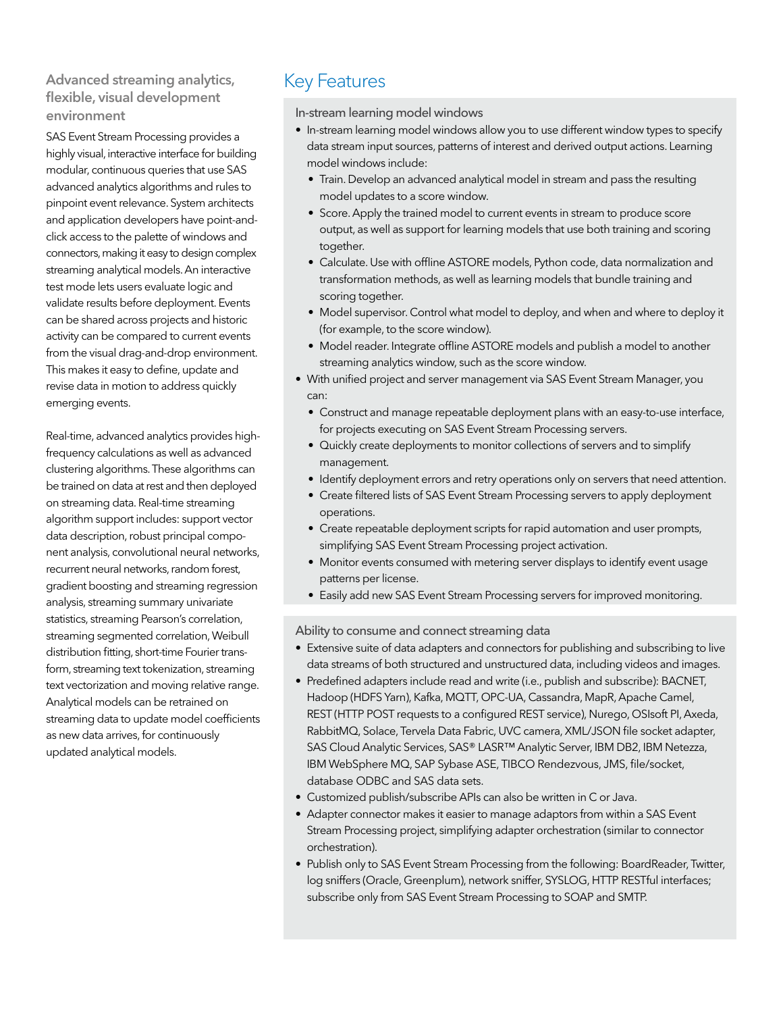# Advanced streaming analytics, Key Features<br>flexible, visual development environment

SAS Event Stream Processing provides a highly visual, interactive interface for building modular, continuous queries that use SAS advanced analytics algorithms and rules to pinpoint event relevance. System architects and application developers have point-andclick access to the palette of windows and connectors, making it easy to design complex streaming analytical models. An interactive test mode lets users evaluate logic and validate results before deployment. Events can be shared across projects and historic activity can be compared to current events from the visual drag-and-drop environment. This makes it easy to define, update and revise data in motion to address quickly emerging events.

Real-time, advanced analytics provides highfrequency calculations as well as advanced clustering algorithms. These algorithms can be trained on data at rest and then deployed on streaming data. Real-time streaming algorithm support includes: support vector data description, robust principal component analysis, convolutional neural networks, recurrent neural networks, random forest, gradient boosting and streaming regression analysis, streaming summary univariate statistics, streaming Pearson's correlation, streaming segmented correlation, Weibull distribution fitting, short-time Fourier transform, streaming text tokenization, streaming text vectorization and moving relative range. Analytical models can be retrained on streaming data to update model coefficients as new data arrives, for continuously updated analytical models.

In-stream learning model windows

- In-stream learning model windows allow you to use different window types to specify data stream input sources, patterns of interest and derived output actions. Learning model windows include:
	- Train. Develop an advanced analytical model in stream and pass the resulting model updates to a score window.
	- Score. Apply the trained model to current events in stream to produce score output, as well as support for learning models that use both training and scoring together.
	- Calculate. Use with offline ASTORE models, Python code, data normalization and transformation methods, as well as learning models that bundle training and scoring together.
	- Model supervisor. Control what model to deploy, and when and where to deploy it (for example, to the score window).
	- Model reader. Integrate offline ASTORE models and publish a model to another streaming analytics window, such as the score window.
- With unified project and server management via SAS Event Stream Manager, you can:
	- Construct and manage repeatable deployment plans with an easy-to-use interface, for projects executing on SAS Event Stream Processing servers.
	- Quickly create deployments to monitor collections of servers and to simplify management.
	- Identify deployment errors and retry operations only on servers that need attention.
	- Create filtered lists of SAS Event Stream Processing servers to apply deployment operations.
	- Create repeatable deployment scripts for rapid automation and user prompts, simplifying SAS Event Stream Processing project activation.
	- Monitor events consumed with metering server displays to identify event usage patterns per license.
	- Easily add new SAS Event Stream Processing servers for improved monitoring.

Ability to consume and connect streaming data

- Extensive suite of data adapters and connectors for publishing and subscribing to live data streams of both structured and unstructured data, including videos and images.
- Predefined adapters include read and write (i.e., publish and subscribe): BACNET, Hadoop (HDFS Yarn), Kafka, MQTT, OPC-UA, Cassandra, MapR, Apache Camel, REST (HTTP POST requests to a configured REST service), Nurego, OSIsoft PI, Axeda, RabbitMQ, Solace, Tervela Data Fabric, UVC camera, XML/JSON file socket adapter, SAS Cloud Analytic Services, SAS® LASR<sup>™</sup> Analytic Server, IBM DB2, IBM Netezza, IBM WebSphere MQ, SAP Sybase ASE, TIBCO Rendezvous, JMS, file/socket, database ODBC and SAS data sets.
- Customized publish/subscribe APIs can also be written in C or Java.
- Adapter connector makes it easier to manage adaptors from within a SAS Event Stream Processing project, simplifying adapter orchestration (similar to connector orchestration).
- Publish only to SAS Event Stream Processing from the following: BoardReader, Twitter, log sniffers (Oracle, Greenplum), network sniffer, SYSLOG, HTTP RESTful interfaces; subscribe only from SAS Event Stream Processing to SOAP and SMTP.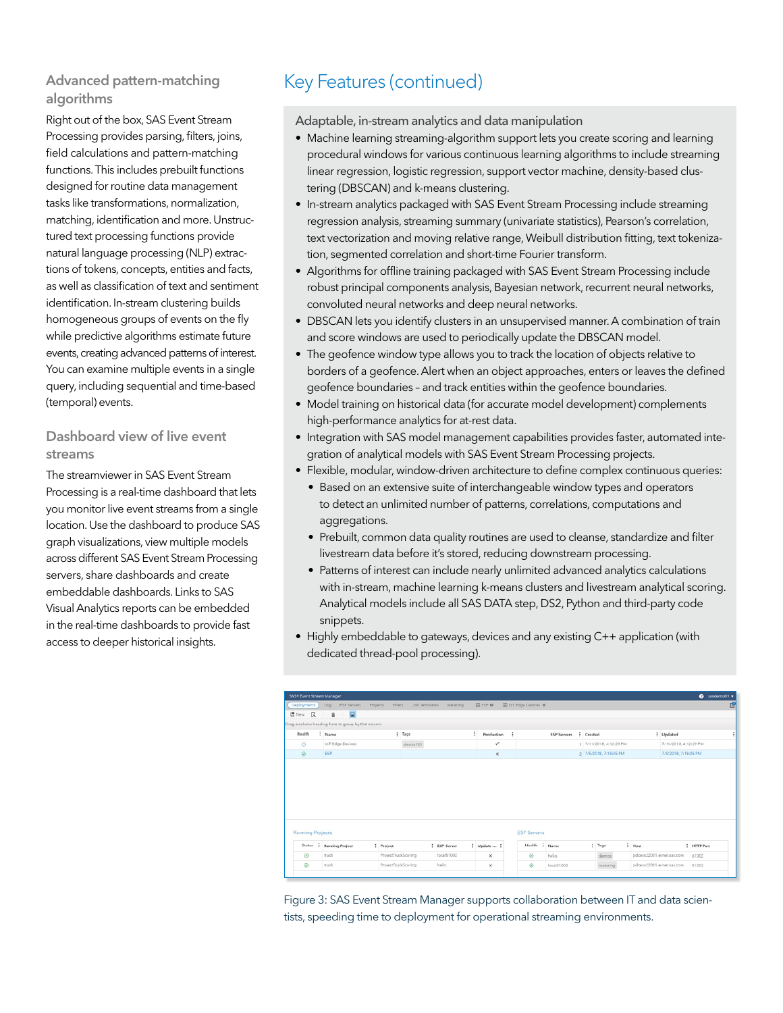#### Advanced pattern-matching algorithms

Right out of the box, SAS Event Stream Processing provides parsing, filters, joins, field calculations and pattern-matching functions. This includes prebuilt functions designed for routine data management tasks like transformations, normalization, matching, identification and more. Unstructured text processing functions provide natural language processing (NLP) extractions of tokens, concepts, entities and facts, as well as classification of text and sentiment identification. In-stream clustering builds homogeneous groups of events on the fly while predictive algorithms estimate future events, creating advanced patterns of interest. You can examine multiple events in a single query, including sequential and time-based (temporal) events.

#### Dashboard view of live event streams

The streamviewer in SAS Event Stream Processing is a real-time dashboard that lets you monitor live event streams from a single location. Use the dashboard to produce SAS graph visualizations, view multiple models across different SAS Event Stream Processing servers, share dashboards and create embeddable dashboards. Links to SAS Visual Analytics reports can be embedded in the real-time dashboards to provide fast access to deeper historical insights.

# Key Features (continued)

Adaptable, in-stream analytics and data manipulation

- Machine learning streaming-algorithm support lets you create scoring and learning procedural windows for various continuous learning algorithms to include streaming linear regression, logistic regression, support vector machine, density-based clustering (DBSCAN) and k-means clustering.
- In-stream analytics packaged with SAS Event Stream Processing include streaming regression analysis, streaming summary (univariate statistics), Pearson's correlation, text vectorization and moving relative range, Weibull distribution fitting, text tokenization, segmented correlation and short-time Fourier transform.
- Algorithms for offline training packaged with SAS Event Stream Processing include robust principal components analysis, Bayesian network, recurrent neural networks, convoluted neural networks and deep neural networks.
- DBSCAN lets you identify clusters in an unsupervised manner. A combination of train and score windows are used to periodically update the DBSCAN model.
- The geofence window type allows you to track the location of objects relative to borders of a geofence. Alert when an object approaches, enters or leaves the defined geofence boundaries – and track entities within the geofence boundaries.
- Model training on historical data (for accurate model development) complements high-performance analytics for at-rest data.
- Integration with SAS model management capabilities provides faster, automated integration of analytical models with SAS Event Stream Processing projects.
- Flexible, modular, window-driven architecture to define complex continuous queries:
	- Based on an extensive suite of interchangeable window types and operators to detect an unlimited number of patterns, correlations, computations and aggregations.
	- Prebuilt, common data quality routines are used to cleanse, standardize and filter livestream data before it's stored, reducing downstream processing.
	- Patterns of interest can include nearly unlimited advanced analytics calculations with in-stream, machine learning k-means clusters and livestream analytical scoring. Analytical models include all SAS DATA step, DS2, Python and third-party code snippets.
- Highly embeddable to gateways, devices and any existing C++ application (with dedicated thread-pool processing).

| Deployments                        | ESP Servers<br>100                                 |                     | Projects Fiters Job Templates Metering |              | $E$ $ESP$ $Q$ | El loT Edge Devices O |                    |           |                         |        |                          |                  |
|------------------------------------|----------------------------------------------------|---------------------|----------------------------------------|--------------|---------------|-----------------------|--------------------|-----------|-------------------------|--------|--------------------------|------------------|
|                                    |                                                    |                     |                                        |              |               |                       |                    |           |                         |        |                          |                  |
| L <sup>e</sup> New<br>$\mathbb{R}$ | - 2<br>ū.                                          |                     |                                        |              |               |                       |                    |           |                         |        |                          |                  |
|                                    | Drag a column heading here to group by that column |                     |                                        |              |               |                       |                    |           |                         |        |                          |                  |
| Health<br>÷                        | Name                                               |                     | : Tags                                 | ÷            | Production    | $\ddot{z}$            | <b>ESP Servers</b> | : Crasted |                         |        | : Updated                |                  |
| $\circ$                            | toT Edge Devices                                   |                     | device 101                             |              | ✓             |                       |                    |           | 1 7/11/2018, 4:12:29 PM |        | 7/11/2018. 4:12:29 PM    |                  |
| $\odot$                            | <b>ESP</b>                                         |                     |                                        |              | $\times$      |                       |                    |           | 2 7/5/2018, 7:18:05 PM  |        | 7/5/2018, 7:18:05 PM     |                  |
|                                    |                                                    |                     |                                        |              |               |                       |                    |           |                         |        |                          |                  |
|                                    |                                                    |                     |                                        |              |               |                       |                    |           |                         |        |                          |                  |
|                                    |                                                    |                     |                                        |              |               | <b>ESP Servers</b>    |                    |           |                         |        |                          |                  |
| <b>Status</b><br>$\cdot$           | <b>Running Project</b>                             | <i>i</i> Project    |                                        | i ESP Scrvor | i Updato  i   | Hoalth                | : Namo             |           | i Tags                  | : Host |                          | <b>HTTP Port</b> |
| <b>Running Projects</b><br>$\odot$ | truck                                              | ProjectTruckScoring |                                        | local51002   | ×             | $\odot$               | hello              |           | demos                   |        | pdcesx22001.exnetsas.com | 61002            |

Figure 3: SAS Event Stream Manager supports collaboration between IT and data scientists, speeding time to deployment for operational streaming environments.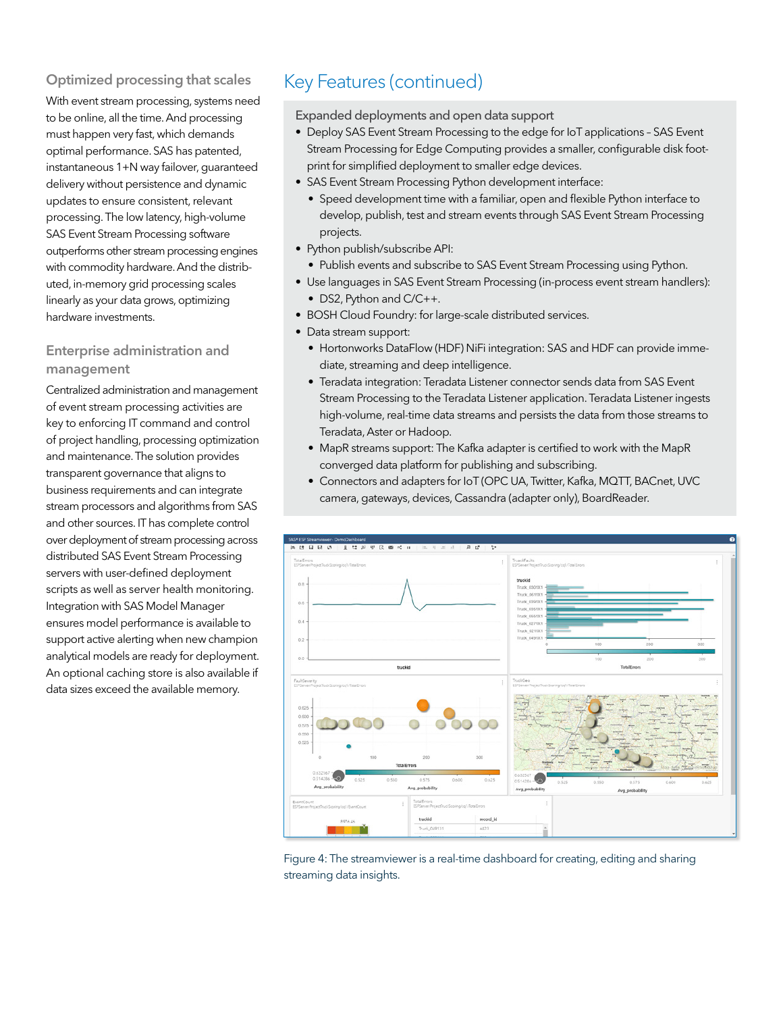### Optimized processing that scales Key Features (continued)

With event stream processing, systems need to be online, all the time. And processing must happen very fast, which demands optimal performance. SAS has patented, instantaneous 1+N way failover, guaranteed delivery without persistence and dynamic updates to ensure consistent, relevant processing. The low latency, high-volume SAS Event Stream Processing software outperforms other stream processing engines with commodity hardware. And the distributed, in-memory grid processing scales linearly as your data grows, optimizing hardware investments.

#### Enterprise administration and management

Centralized administration and management of event stream processing activities are key to enforcing IT command and control of project handling, processing optimization and maintenance. The solution provides transparent governance that aligns to business requirements and can integrate stream processors and algorithms from SAS and other sources. IT has complete control over deployment of stream processing across distributed SAS Event Stream Processing servers with user-defined deployment scripts as well as server health monitoring. Integration with SAS Model Manager ensures model performance is available to support active alerting when new champion analytical models are ready for deployment. An optional caching store is also available if data sizes exceed the available memory.

Expanded deployments and open data support

- Deploy SAS Event Stream Processing to the edge for IoT applications SAS Event Stream Processing for Edge Computing provides a smaller, configurable disk footprint for simplified deployment to smaller edge devices.
- SAS Event Stream Processing Python development interface:
	- Speed development time with a familiar, open and flexible Python interface to develop, publish, test and stream events through SAS Event Stream Processing projects.
- Python publish/subscribe API:
- Publish events and subscribe to SAS Event Stream Processing using Python.
- Use languages in SAS Event Stream Processing (in-process event stream handlers): • DS2, Python and C/C++.
- BOSH Cloud Foundry: for large-scale distributed services.
- Data stream support:
	- Hortonworks DataFlow (HDF) NiFi integration: SAS and HDF can provide immediate, streaming and deep intelligence.
	- Teradata integration: Teradata Listener connector sends data from SAS Event Stream Processing to the Teradata Listener application. Teradata Listener ingests high-volume, real-time data streams and persists the data from those streams to Teradata, Aster or Hadoop.
	- MapR streams support: The Kafka adapter is certified to work with the MapR converged data platform for publishing and subscribing.
	- Connectors and adapters for IoT (OPC UA, Twitter, Kafka, MQTT, BACnet, UVC camera, gateways, devices, Cassandra (adapter only), BoardReader.



Figure 4: The streamviewer is a real-time dashboard for creating, editing and sharing streaming data insights.